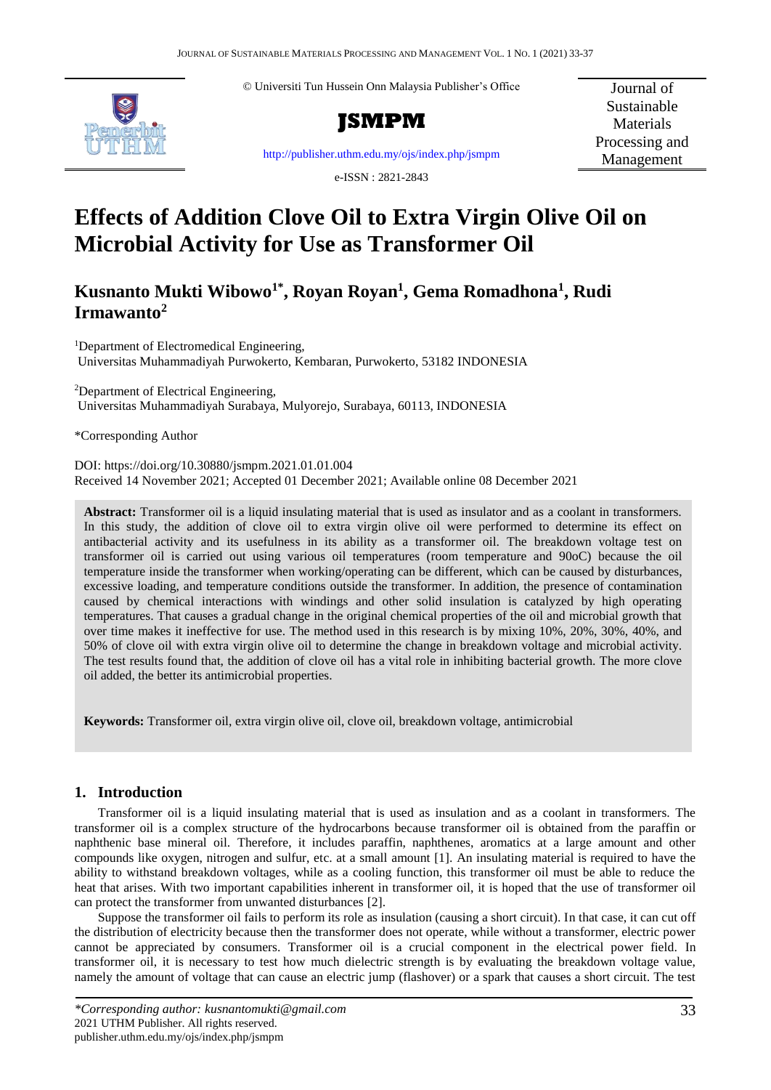© Universiti Tun Hussein Onn Malaysia Publisher's Office



**JSMPM**

Journal of Sustainable **Materials** Processing and Management

<http://publisher.uthm.edu.my/ojs/index.php/jsmpm>

e-ISSN : 2821-2843

# **Effects of Addition Clove Oil to Extra Virgin Olive Oil on Microbial Activity for Use as Transformer Oil**

## **Kusnanto Mukti Wibowo1\* , Royan Royan<sup>1</sup> , Gema Romadhona<sup>1</sup> , Rudi Irmawanto<sup>2</sup>**

<sup>1</sup>Department of Electromedical Engineering, Universitas Muhammadiyah Purwokerto, Kembaran, Purwokerto, 53182 INDONESIA

<sup>2</sup>Department of Electrical Engineering, Universitas Muhammadiyah Surabaya, Mulyorejo, Surabaya, 60113, INDONESIA

\*Corresponding Author

DOI: https://doi.org/10.30880/jsmpm.2021.01.01.004 Received 14 November 2021; Accepted 01 December 2021; Available online 08 December 2021

**Abstract:** Transformer oil is a liquid insulating material that is used as insulator and as a coolant in transformers. In this study, the addition of clove oil to extra virgin olive oil were performed to determine its effect on antibacterial activity and its usefulness in its ability as a transformer oil. The breakdown voltage test on transformer oil is carried out using various oil temperatures (room temperature and 90oC) because the oil temperature inside the transformer when working/operating can be different, which can be caused by disturbances, excessive loading, and temperature conditions outside the transformer. In addition, the presence of contamination caused by chemical interactions with windings and other solid insulation is catalyzed by high operating temperatures. That causes a gradual change in the original chemical properties of the oil and microbial growth that over time makes it ineffective for use. The method used in this research is by mixing 10%, 20%, 30%, 40%, and 50% of clove oil with extra virgin olive oil to determine the change in breakdown voltage and microbial activity. The test results found that, the addition of clove oil has a vital role in inhibiting bacterial growth. The more clove oil added, the better its antimicrobial properties.

**Keywords:** Transformer oil, extra virgin olive oil, clove oil, breakdown voltage, antimicrobial

## **1. Introduction**

Transformer oil is a liquid insulating material that is used as insulation and as a coolant in transformers. The transformer oil is a complex structure of the hydrocarbons because transformer oil is obtained from the paraffin or naphthenic base mineral oil. Therefore, it includes paraffin, naphthenes, aromatics at a large amount and other compounds like oxygen, nitrogen and sulfur, etc. at a small amount [1]. An insulating material is required to have the ability to withstand breakdown voltages, while as a cooling function, this transformer oil must be able to reduce the heat that arises. With two important capabilities inherent in transformer oil, it is hoped that the use of transformer oil can protect the transformer from unwanted disturbances [2].

Suppose the transformer oil fails to perform its role as insulation (causing a short circuit). In that case, it can cut off the distribution of electricity because then the transformer does not operate, while without a transformer, electric power cannot be appreciated by consumers. Transformer oil is a crucial component in the electrical power field. In transformer oil, it is necessary to test how much dielectric strength is by evaluating the breakdown voltage value, namely the amount of voltage that can cause an electric jump (flashover) or a spark that causes a short circuit. The test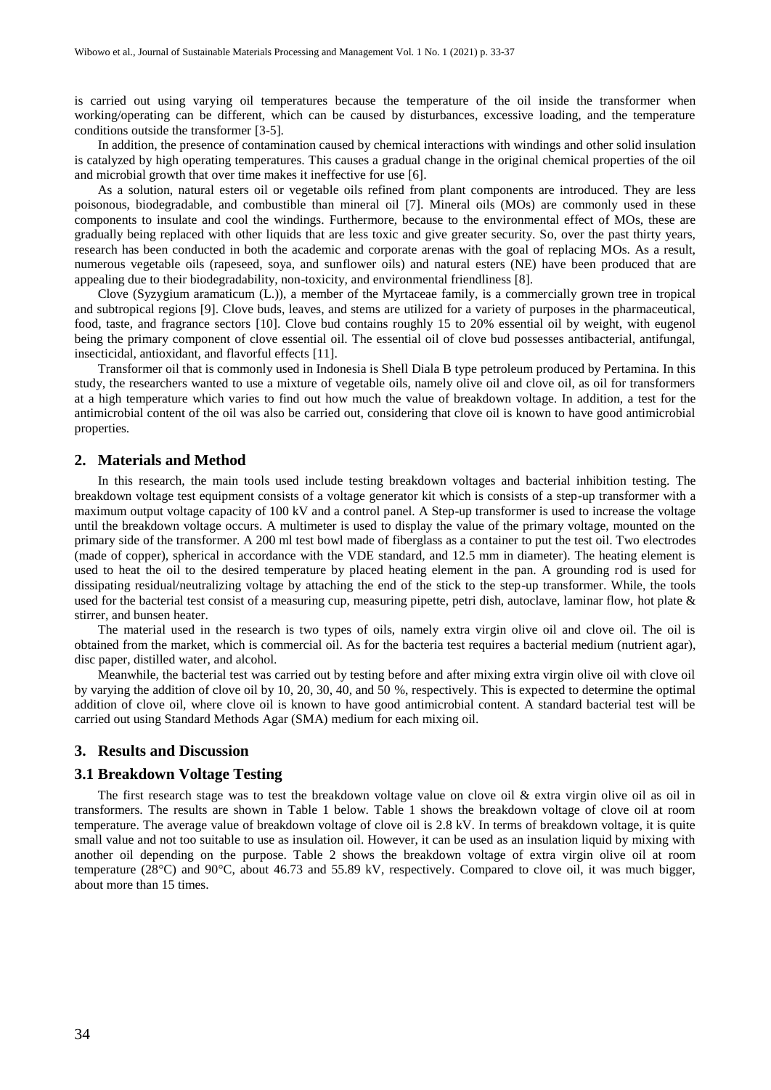is carried out using varying oil temperatures because the temperature of the oil inside the transformer when working/operating can be different, which can be caused by disturbances, excessive loading, and the temperature conditions outside the transformer [3-5].

In addition, the presence of contamination caused by chemical interactions with windings and other solid insulation is catalyzed by high operating temperatures. This causes a gradual change in the original chemical properties of the oil and microbial growth that over time makes it ineffective for use [6].

As a solution, natural esters oil or vegetable oils refined from plant components are introduced. They are less poisonous, biodegradable, and combustible than mineral oil [7]. Mineral oils (MOs) are commonly used in these components to insulate and cool the windings. Furthermore, because to the environmental effect of MOs, these are gradually being replaced with other liquids that are less toxic and give greater security. So, over the past thirty years, research has been conducted in both the academic and corporate arenas with the goal of replacing MOs. As a result, numerous vegetable oils (rapeseed, soya, and sunflower oils) and natural esters (NE) have been produced that are appealing due to their biodegradability, non-toxicity, and environmental friendliness [8].

Clove (Syzygium aramaticum (L.)), a member of the Myrtaceae family, is a commercially grown tree in tropical and subtropical regions [9]. Clove buds, leaves, and stems are utilized for a variety of purposes in the pharmaceutical, food, taste, and fragrance sectors [10]. Clove bud contains roughly 15 to 20% essential oil by weight, with eugenol being the primary component of clove essential oil. The essential oil of clove bud possesses antibacterial, antifungal, insecticidal, antioxidant, and flavorful effects [11].

Transformer oil that is commonly used in Indonesia is Shell Diala B type petroleum produced by Pertamina. In this study, the researchers wanted to use a mixture of vegetable oils, namely olive oil and clove oil, as oil for transformers at a high temperature which varies to find out how much the value of breakdown voltage. In addition, a test for the antimicrobial content of the oil was also be carried out, considering that clove oil is known to have good antimicrobial properties.

#### **2. Materials and Method**

In this research, the main tools used include testing breakdown voltages and bacterial inhibition testing. The breakdown voltage test equipment consists of a voltage generator kit which is consists of a step-up transformer with a maximum output voltage capacity of 100 kV and a control panel. A Step-up transformer is used to increase the voltage until the breakdown voltage occurs. A multimeter is used to display the value of the primary voltage, mounted on the primary side of the transformer. A 200 ml test bowl made of fiberglass as a container to put the test oil. Two electrodes (made of copper), spherical in accordance with the VDE standard, and 12.5 mm in diameter). The heating element is used to heat the oil to the desired temperature by placed heating element in the pan. A grounding rod is used for dissipating residual/neutralizing voltage by attaching the end of the stick to the step-up transformer. While, the tools used for the bacterial test consist of a measuring cup, measuring pipette, petri dish, autoclave, laminar flow, hot plate  $\&$ stirrer, and bunsen heater.

The material used in the research is two types of oils, namely extra virgin olive oil and clove oil. The oil is obtained from the market, which is commercial oil. As for the bacteria test requires a bacterial medium (nutrient agar), disc paper, distilled water, and alcohol.

Meanwhile, the bacterial test was carried out by testing before and after mixing extra virgin olive oil with clove oil by varying the addition of clove oil by 10, 20, 30, 40, and 50 %, respectively. This is expected to determine the optimal addition of clove oil, where clove oil is known to have good antimicrobial content. A standard bacterial test will be carried out using Standard Methods Agar (SMA) medium for each mixing oil.

#### **3. Results and Discussion**

#### **3.1 Breakdown Voltage Testing**

The first research stage was to test the breakdown voltage value on clove oil  $\&$  extra virgin olive oil as oil in transformers. The results are shown in Table 1 below. Table 1 shows the breakdown voltage of clove oil at room temperature. The average value of breakdown voltage of clove oil is 2.8 kV. In terms of breakdown voltage, it is quite small value and not too suitable to use as insulation oil. However, it can be used as an insulation liquid by mixing with another oil depending on the purpose. Table 2 shows the breakdown voltage of extra virgin olive oil at room temperature (28°C) and 90°C, about 46.73 and 55.89 kV, respectively. Compared to clove oil, it was much bigger, about more than 15 times.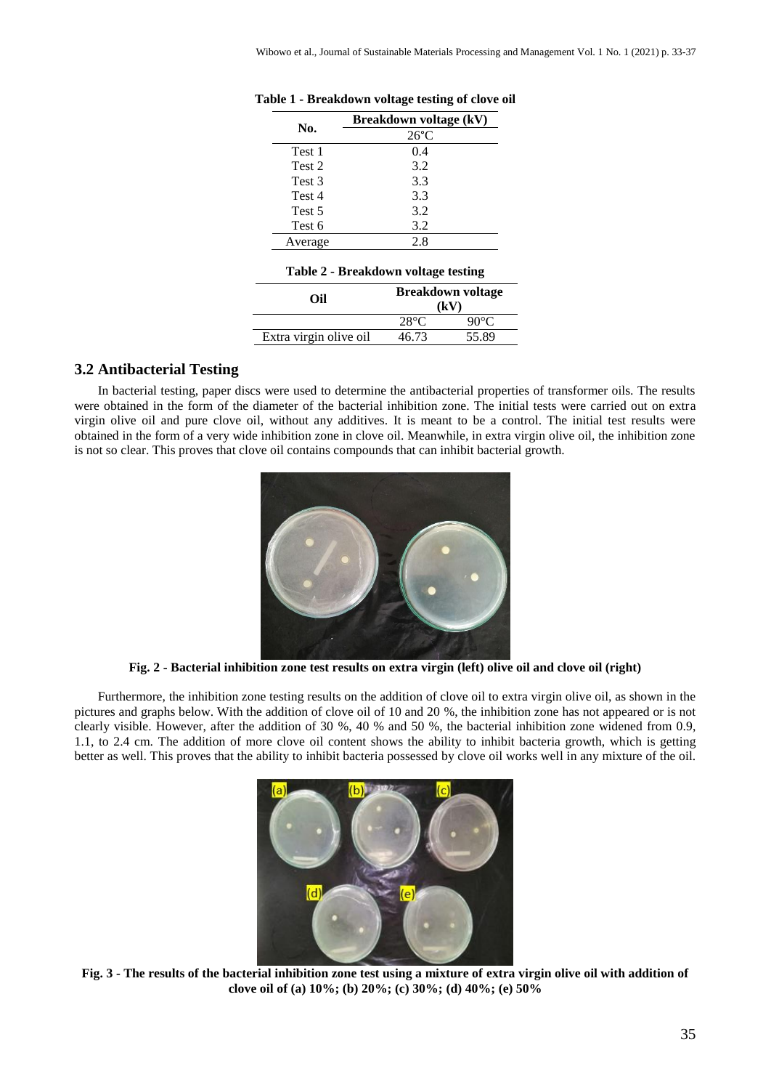| No.     | Breakdown voltage (kV) |
|---------|------------------------|
|         | $26^{\circ}$ C         |
| Test 1  | 0.4                    |
| Test 2  | 3.2                    |
| Test 3  | 3.3                    |
| Test 4  | 3.3                    |
| Test 5  | 3.2                    |
| Test 6  | 3.2                    |
| Average | 2.8                    |

**Table 1 - Breakdown voltage testing of clove oil**

#### **Table 2 - Breakdown voltage testing**

| Oil                    | <b>Breakdown voltage</b><br>(kV) |                |
|------------------------|----------------------------------|----------------|
|                        | $28^{\circ}C$                    | $90^{\circ}$ C |
| Extra virgin olive oil | 46.73                            | 55.89          |

### **3.2 Antibacterial Testing**

In bacterial testing, paper discs were used to determine the antibacterial properties of transformer oils. The results were obtained in the form of the diameter of the bacterial inhibition zone. The initial tests were carried out on extra virgin olive oil and pure clove oil, without any additives. It is meant to be a control. The initial test results were obtained in the form of a very wide inhibition zone in clove oil. Meanwhile, in extra virgin olive oil, the inhibition zone is not so clear. This proves that clove oil contains compounds that can inhibit bacterial growth.



**Fig. 2 - Bacterial inhibition zone test results on extra virgin (left) olive oil and clove oil (right)**

Furthermore, the inhibition zone testing results on the addition of clove oil to extra virgin olive oil, as shown in the pictures and graphs below. With the addition of clove oil of 10 and 20 %, the inhibition zone has not appeared or is not clearly visible. However, after the addition of 30 %, 40 % and 50 %, the bacterial inhibition zone widened from 0.9, 1.1, to 2.4 cm. The addition of more clove oil content shows the ability to inhibit bacteria growth, which is getting better as well. This proves that the ability to inhibit bacteria possessed by clove oil works well in any mixture of the oil.



**Fig. 3 - The results of the bacterial inhibition zone test using a mixture of extra virgin olive oil with addition of clove oil of (a) 10%; (b) 20%; (c) 30%; (d) 40%; (e) 50%**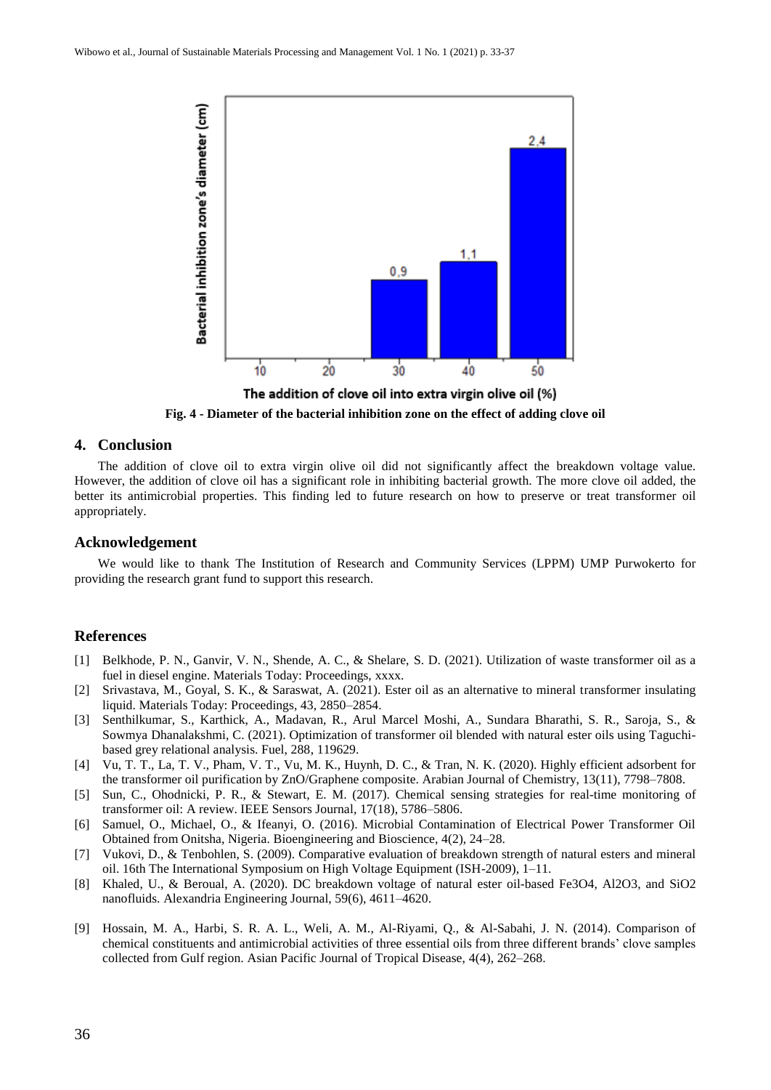

The addition of clove oil into extra virgin olive oil (%)

**Fig. 4 - Diameter of the bacterial inhibition zone on the effect of adding clove oil**

## **4. Conclusion**

The addition of clove oil to extra virgin olive oil did not significantly affect the breakdown voltage value. However, the addition of clove oil has a significant role in inhibiting bacterial growth. The more clove oil added, the better its antimicrobial properties. This finding led to future research on how to preserve or treat transformer oil appropriately.

#### **Acknowledgement**

We would like to thank The Institution of Research and Community Services (LPPM) UMP Purwokerto for providing the research grant fund to support this research.

#### **References**

- [1] Belkhode, P. N., Ganvir, V. N., Shende, A. C., & Shelare, S. D. (2021). Utilization of waste transformer oil as a fuel in diesel engine. Materials Today: Proceedings, xxxx.
- [2] Srivastava, M., Goyal, S. K., & Saraswat, A. (2021). Ester oil as an alternative to mineral transformer insulating liquid. Materials Today: Proceedings, 43, 2850–2854.
- [3] Senthilkumar, S., Karthick, A., Madavan, R., Arul Marcel Moshi, A., Sundara Bharathi, S. R., Saroja, S., & Sowmya Dhanalakshmi, C. (2021). Optimization of transformer oil blended with natural ester oils using Taguchibased grey relational analysis. Fuel, 288, 119629.
- [4] Vu, T. T., La, T. V., Pham, V. T., Vu, M. K., Huynh, D. C., & Tran, N. K. (2020). Highly efficient adsorbent for the transformer oil purification by ZnO/Graphene composite. Arabian Journal of Chemistry, 13(11), 7798–7808.
- [5] Sun, C., Ohodnicki, P. R., & Stewart, E. M. (2017). Chemical sensing strategies for real-time monitoring of transformer oil: A review. IEEE Sensors Journal, 17(18), 5786–5806.
- [6] Samuel, O., Michael, O., & Ifeanyi, O. (2016). Microbial Contamination of Electrical Power Transformer Oil Obtained from Onitsha, Nigeria. Bioengineering and Bioscience, 4(2), 24–28.
- [7] Vukovi, D., & Tenbohlen, S. (2009). Comparative evaluation of breakdown strength of natural esters and mineral oil. 16th The International Symposium on High Voltage Equipment (ISH-2009), 1–11.
- [8] Khaled, U., & Beroual, A. (2020). DC breakdown voltage of natural ester oil-based Fe3O4, Al2O3, and SiO2 nanofluids. Alexandria Engineering Journal, 59(6), 4611–4620.
- [9] Hossain, M. A., Harbi, S. R. A. L., Weli, A. M., Al-Riyami, Q., & Al-Sabahi, J. N. (2014). Comparison of chemical constituents and antimicrobial activities of three essential oils from three different brands' clove samples collected from Gulf region. Asian Pacific Journal of Tropical Disease, 4(4), 262–268.